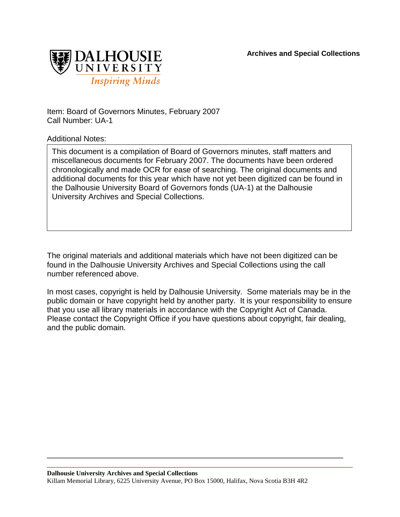

Item: Board of Governors Minutes, February 2007 Call Number: UA-1

Additional Notes:

This document is a compilation of Board of Governors minutes, staff matters and miscellaneous documents for February 2007. The documents have been ordered chronologically and made OCR for ease of searching. The original documents and additional documents for this year which have not yet been digitized can be found in the Dalhousie University Board of Governors fonds (UA-1) at the Dalhousie University Archives and Special Collections.

The original materials and additional materials which have not been digitized can be found in the Dalhousie University Archives and Special Collections using the call number referenced above.

In most cases, copyright is held by Dalhousie University. Some materials may be in the public domain or have copyright held by another party. It is your responsibility to ensure that you use all library materials in accordance with the Copyright Act of Canada. Please contact the Copyright Office if you have questions about copyright, fair dealing, and the public domain.

\_\_\_\_\_\_\_\_\_\_\_\_\_\_\_\_\_\_\_\_\_\_\_\_\_\_\_\_\_\_\_\_\_\_\_\_\_\_\_\_\_\_\_\_\_\_\_\_\_\_\_\_\_\_\_\_\_\_\_\_\_\_\_\_\_\_\_\_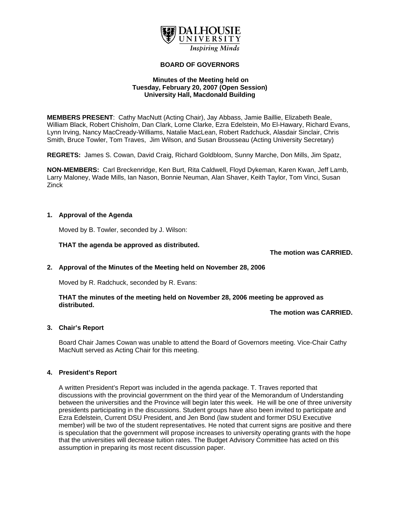

#### **BOARD OF GOVERNORS**

#### **Minutes of the Meeting held on Tuesday, February 20, 2007 (Open Session) University Hall, Macdonald Building**

**MEMBERS PRESENT**: Cathy MacNutt (Acting Chair), Jay Abbass, Jamie Baillie, Elizabeth Beale, William Black, Robert Chisholm, Dan Clark, Lorne Clarke, Ezra Edelstein, Mo El-Hawary, Richard Evans, Lynn Irving, Nancy MacCready-Williams, Natalie MacLean, Robert Radchuck, Alasdair Sinclair, Chris Smith, Bruce Towler, Tom Traves, Jim Wilson, and Susan Brousseau (Acting University Secretary)

**REGRETS:** James S. Cowan, David Craig, Richard Goldbloom, Sunny Marche, Don Mills, Jim Spatz,

**NON-MEMBERS:** Carl Breckenridge, Ken Burt, Rita Caldwell, Floyd Dykeman, Karen Kwan, Jeff Lamb, Larry Maloney, Wade Mills, Ian Nason, Bonnie Neuman, Alan Shaver, Keith Taylor, Tom Vinci, Susan Zinck

### **1. Approval of the Agenda**

Moved by B. Towler, seconded by J. Wilson:

**THAT the agenda be approved as distributed.**

**The motion was CARRIED.** 

### **2. Approval of the Minutes of the Meeting held on November 28, 2006**

Moved by R. Radchuck, seconded by R. Evans:

## **THAT the minutes of the meeting held on November 28, 2006 meeting be approved as distributed.**

**The motion was CARRIED.** 

### **3. Chair's Report**

Board Chair James Cowan was unable to attend the Board of Governors meeting. Vice-Chair Cathy MacNutt served as Acting Chair for this meeting.

### **4. President's Report**

A written President's Report was included in the agenda package. T. Traves reported that discussions with the provincial government on the third year of the Memorandum of Understanding between the universities and the Province will begin later this week. He will be one of three university presidents participating in the discussions. Student groups have also been invited to participate and Ezra Edelstein, Current DSU President, and Jen Bond (law student and former DSU Executive member) will be two of the student representatives. He noted that current signs are positive and there is speculation that the government will propose increases to university operating grants with the hope that the universities will decrease tuition rates. The Budget Advisory Committee has acted on this assumption in preparing its most recent discussion paper.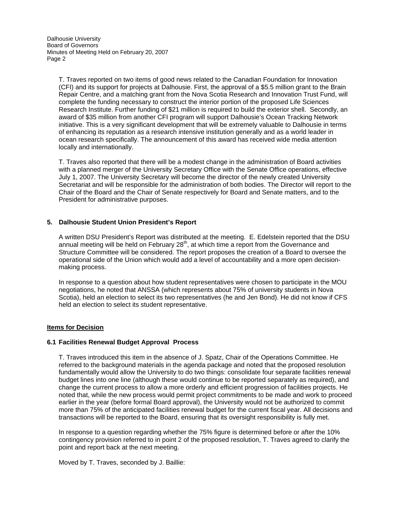T. Traves reported on two items of good news related to the Canadian Foundation for Innovation (CFI) and its support for projects at Dalhousie. First, the approval of a \$5.5 million grant to the Brain Repair Centre, and a matching grant from the Nova Scotia Research and Innovation Trust Fund, will complete the funding necessary to construct the interior portion of the proposed Life Sciences Research Institute. Further funding of \$21 million is required to build the exterior shell. Secondly, an award of \$35 million from another CFI program will support Dalhousie's Ocean Tracking Network initiative. This is a very significant development that will be extremely valuable to Dalhousie in terms of enhancing its reputation as a research intensive institution generally and as a world leader in ocean research specifically. The announcement of this award has received wide media attention locally and internationally.

T. Traves also reported that there will be a modest change in the administration of Board activities with a planned merger of the University Secretary Office with the Senate Office operations, effective July 1, 2007. The University Secretary will become the director of the newly created University Secretariat and will be responsible for the administration of both bodies. The Director will report to the Chair of the Board and the Chair of Senate respectively for Board and Senate matters, and to the President for administrative purposes.

### **5. Dalhousie Student Union President's Report**

A written DSU President's Report was distributed at the meeting. E. Edelstein reported that the DSU annual meeting will be held on February 28<sup>th</sup>, at which time a report from the Governance and Structure Committee will be considered. The report proposes the creation of a Board to oversee the operational side of the Union which would add a level of accountability and a more open decisionmaking process.

In response to a question about how student representatives were chosen to participate in the MOU negotiations, he noted that ANSSA (which represents about 75% of university students in Nova Scotia), held an election to select its two representatives (he and Jen Bond). He did not know if CFS held an election to select its student representative.

### **Items for Decision**

### **6.1 Facilities Renewal Budget Approval Process**

T. Traves introduced this item in the absence of J. Spatz, Chair of the Operations Committee. He referred to the background materials in the agenda package and noted that the proposed resolution fundamentally would allow the University to do two things: consolidate four separate facilities renewal budget lines into one line (although these would continue to be reported separately as required), and change the current process to allow a more orderly and efficient progression of facilities projects. He noted that, while the new process would permit project commitments to be made and work to proceed earlier in the year (before formal Board approval), the University would not be authorized to commit more than 75% of the anticipated facilities renewal budget for the current fiscal year. All decisions and transactions will be reported to the Board, ensuring that its oversight responsibility is fully met.

In response to a question regarding whether the 75% figure is determined before or after the 10% contingency provision referred to in point 2 of the proposed resolution, T. Traves agreed to clarify the point and report back at the next meeting.

Moved by T. Traves, seconded by J. Baillie: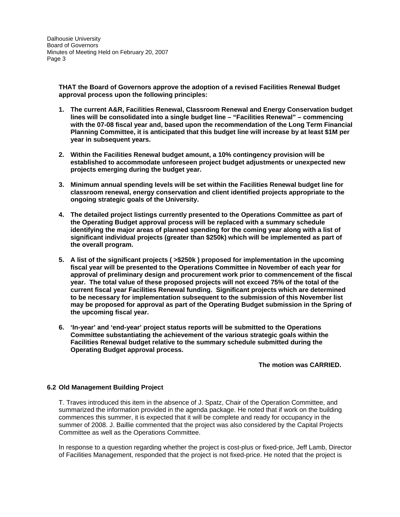**THAT the Board of Governors approve the adoption of a revised Facilities Renewal Budget approval process upon the following principles:** 

- **1. The current A&R, Facilities Renewal, Classroom Renewal and Energy Conservation budget lines will be consolidated into a single budget line – "Facilities Renewal" – commencing with the 07-08 fiscal year and, based upon the recommendation of the Long Term Financial Planning Committee, it is anticipated that this budget line will increase by at least \$1M per year in subsequent years.**
- **2. Within the Facilities Renewal budget amount, a 10% contingency provision will be established to accommodate unforeseen project budget adjustments or unexpected new projects emerging during the budget year.**
- **3. Minimum annual spending levels will be set within the Facilities Renewal budget line for classroom renewal, energy conservation and client identified projects appropriate to the ongoing strategic goals of the University.**
- **4. The detailed project listings currently presented to the Operations Committee as part of the Operating Budget approval process will be replaced with a summary schedule identifying the major areas of planned spending for the coming year along with a list of significant individual projects (greater than \$250k) which will be implemented as part of the overall program.**
- **5. A list of the significant projects ( >\$250k ) proposed for implementation in the upcoming fiscal year will be presented to the Operations Committee in November of each year for approval of preliminary design and procurement work prior to commencement of the fiscal year. The total value of these proposed projects will not exceed 75% of the total of the current fiscal year Facilities Renewal funding. Significant projects which are determined to be necessary for implementation subsequent to the submission of this November list may be proposed for approval as part of the Operating Budget submission in the Spring of the upcoming fiscal year.**
- **6. 'In-year' and 'end-year' project status reports will be submitted to the Operations Committee substantiating the achievement of the various strategic goals within the Facilities Renewal budget relative to the summary schedule submitted during the Operating Budget approval process.**

### **The motion was CARRIED.**

### **6.2 Old Management Building Project**

T. Traves introduced this item in the absence of J. Spatz, Chair of the Operation Committee, and summarized the information provided in the agenda package. He noted that if work on the building commences this summer, it is expected that it will be complete and ready for occupancy in the summer of 2008. J. Baillie commented that the project was also considered by the Capital Projects Committee as well as the Operations Committee.

In response to a question regarding whether the project is cost-plus or fixed-price, Jeff Lamb, Director of Facilities Management, responded that the project is not fixed-price. He noted that the project is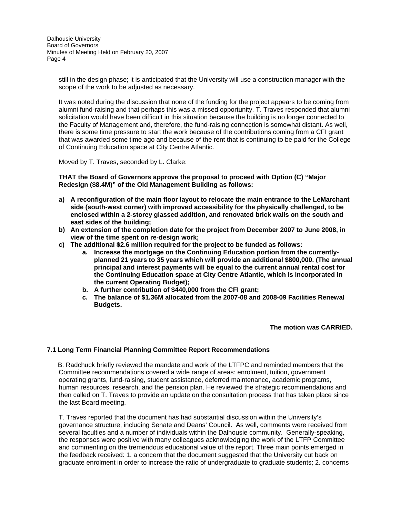still in the design phase; it is anticipated that the University will use a construction manager with the scope of the work to be adjusted as necessary.

It was noted during the discussion that none of the funding for the project appears to be coming from alumni fund-raising and that perhaps this was a missed opportunity. T. Traves responded that alumni solicitation would have been difficult in this situation because the building is no longer connected to the Faculty of Management and, therefore, the fund-raising connection is somewhat distant. As well, there is some time pressure to start the work because of the contributions coming from a CFI grant that was awarded some time ago and because of the rent that is continuing to be paid for the College of Continuing Education space at City Centre Atlantic.

Moved by T. Traves, seconded by L. Clarke:

**THAT the Board of Governors approve the proposal to proceed with Option (C) "Major Redesign (\$8.4M)" of the Old Management Building as follows:** 

- **a) A reconfiguration of the main floor layout to relocate the main entrance to the LeMarchant side (south-west corner) with improved accessibility for the physically challenged, to be enclosed within a 2-storey glassed addition, and renovated brick walls on the south and east sides of the building;**
- **b) An extension of the completion date for the project from December 2007 to June 2008, in view of the time spent on re-design work;**
- **c) The additional \$2.6 million required for the project to be funded as follows:** 
	- **a. Increase the mortgage on the Continuing Education portion from the currentlyplanned 21 years to 35 years which will provide an additional \$800,000. (The annual principal and interest payments will be equal to the current annual rental cost for the Continuing Education space at City Centre Atlantic, which is incorporated in the current Operating Budget);**
	- **b. A further contribution of \$440,000 from the CFI grant;**
	- **c. The balance of \$1.36M allocated from the 2007-08 and 2008-09 Facilities Renewal Budgets.**

**The motion was CARRIED.** 

### **7.1 Long Term Financial Planning Committee Report Recommendations**

 B. Radchuck briefly reviewed the mandate and work of the LTFPC and reminded members that the Committee recommendations covered a wide range of areas: enrolment, tuition, government operating grants, fund-raising, student assistance, deferred maintenance, academic programs, human resources, research, and the pension plan. He reviewed the strategic recommendations and then called on T. Traves to provide an update on the consultation process that has taken place since the last Board meeting.

T. Traves reported that the document has had substantial discussion within the University's governance structure, including Senate and Deans' Council. As well, comments were received from several faculties and a number of individuals within the Dalhousie community. Generally-speaking, the responses were positive with many colleagues acknowledging the work of the LTFP Committee and commenting on the tremendous educational value of the report. Three main points emerged in the feedback received: 1. a concern that the document suggested that the University cut back on graduate enrolment in order to increase the ratio of undergraduate to graduate students; 2. concerns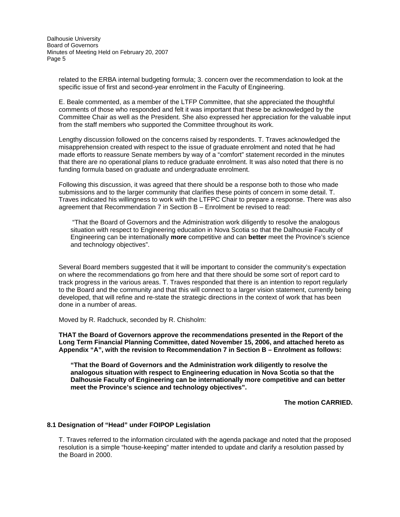related to the ERBA internal budgeting formula; 3. concern over the recommendation to look at the specific issue of first and second-year enrolment in the Faculty of Engineering.

E. Beale commented, as a member of the LTFP Committee, that she appreciated the thoughtful comments of those who responded and felt it was important that these be acknowledged by the Committee Chair as well as the President. She also expressed her appreciation for the valuable input from the staff members who supported the Committee throughout its work.

Lengthy discussion followed on the concerns raised by respondents. T. Traves acknowledged the misapprehension created with respect to the issue of graduate enrolment and noted that he had made efforts to reassure Senate members by way of a "comfort" statement recorded in the minutes that there are no operational plans to reduce graduate enrolment. It was also noted that there is no funding formula based on graduate and undergraduate enrolment.

Following this discussion, it was agreed that there should be a response both to those who made submissions and to the larger community that clarifies these points of concern in some detail. T. Traves indicated his willingness to work with the LTFPC Chair to prepare a response. There was also agreement that Recommendation 7 in Section B – Enrolment be revised to read:

 "That the Board of Governors and the Administration work diligently to resolve the analogous situation with respect to Engineering education in Nova Scotia so that the Dalhousie Faculty of Engineering can be internationally **more** competitive and can **better** meet the Province's science and technology objectives".

Several Board members suggested that it will be important to consider the community's expectation on where the recommendations go from here and that there should be some sort of report card to track progress in the various areas. T. Traves responded that there is an intention to report regularly to the Board and the community and that this will connect to a larger vision statement, currently being developed, that will refine and re-state the strategic directions in the context of work that has been done in a number of areas.

Moved by R. Radchuck, seconded by R. Chisholm:

**THAT the Board of Governors approve the recommendations presented in the Report of the Long Term Financial Planning Committee, dated November 15, 2006, and attached hereto as Appendix "A", with the revision to Recommendation 7 in Section B – Enrolment as follows:** 

**"That the Board of Governors and the Administration work diligently to resolve the analogous situation with respect to Engineering education in Nova Scotia so that the Dalhousie Faculty of Engineering can be internationally more competitive and can better meet the Province's science and technology objectives".** 

**The motion CARRIED.** 

### **8.1 Designation of "Head" under FOIPOP Legislation**

T. Traves referred to the information circulated with the agenda package and noted that the proposed resolution is a simple "house-keeping" matter intended to update and clarify a resolution passed by the Board in 2000.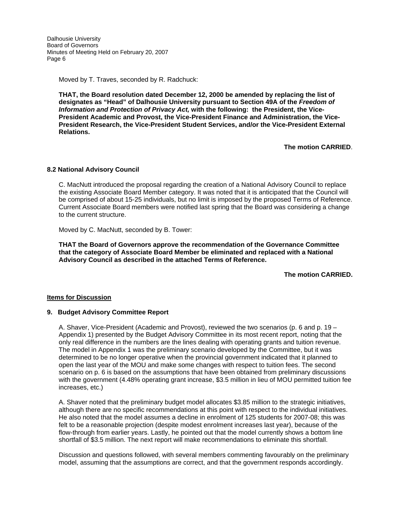Moved by T. Traves, seconded by R. Radchuck:

**THAT, the Board resolution dated December 12, 2000 be amended by replacing the list of designates as "Head" of Dalhousie University pursuant to Section 49A of the** *Freedom of Information and Protection of Privacy Act,* **with the following: the President, the Vice-President Academic and Provost, the Vice-President Finance and Administration, the Vice-President Research, the Vice-President Student Services, and/or the Vice-President External Relations.** 

**The motion CARRIED**.

#### **8.2 National Advisory Council**

C. MacNutt introduced the proposal regarding the creation of a National Advisory Council to replace the existing Associate Board Member category. It was noted that it is anticipated that the Council will be comprised of about 15-25 individuals, but no limit is imposed by the proposed Terms of Reference. Current Associate Board members were notified last spring that the Board was considering a change to the current structure.

Moved by C. MacNutt, seconded by B. Tower:

**THAT the Board of Governors approve the recommendation of the Governance Committee that the category of Associate Board Member be eliminated and replaced with a National Advisory Council as described in the attached Terms of Reference.** 

**The motion CARRIED.**

#### **Items for Discussion**

#### **9. Budget Advisory Committee Report**

A. Shaver, Vice-President (Academic and Provost), reviewed the two scenarios (p. 6 and p. 19 – Appendix 1) presented by the Budget Advisory Committee in its most recent report, noting that the only real difference in the numbers are the lines dealing with operating grants and tuition revenue. The model in Appendix 1 was the preliminary scenario developed by the Committee, but it was determined to be no longer operative when the provincial government indicated that it planned to open the last year of the MOU and make some changes with respect to tuition fees. The second scenario on p. 6 is based on the assumptions that have been obtained from preliminary discussions with the government (4.48% operating grant increase, \$3.5 million in lieu of MOU permitted tuition fee increases, etc.)

A. Shaver noted that the preliminary budget model allocates \$3.85 million to the strategic initiatives, although there are no specific recommendations at this point with respect to the individual initiatives. He also noted that the model assumes a decline in enrolment of 125 students for 2007-08; this was felt to be a reasonable projection (despite modest enrolment increases last year), because of the flow-through from earlier years. Lastly, he pointed out that the model currently shows a bottom line shortfall of \$3.5 million. The next report will make recommendations to eliminate this shortfall.

Discussion and questions followed, with several members commenting favourably on the preliminary model, assuming that the assumptions are correct, and that the government responds accordingly.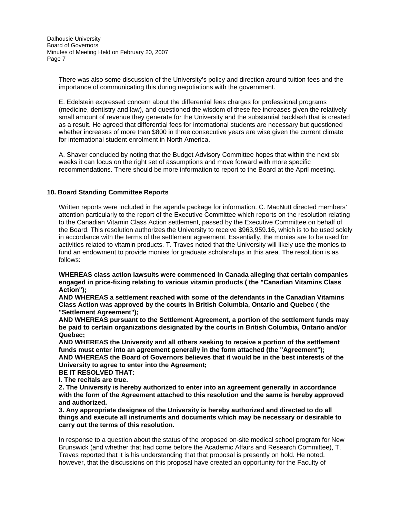There was also some discussion of the University's policy and direction around tuition fees and the importance of communicating this during negotiations with the government.

E. Edelstein expressed concern about the differential fees charges for professional programs (medicine, dentistry and law), and questioned the wisdom of these fee increases given the relatively small amount of revenue they generate for the University and the substantial backlash that is created as a result. He agreed that differential fees for international students are necessary but questioned whether increases of more than \$800 in three consecutive years are wise given the current climate for international student enrolment in North America.

A. Shaver concluded by noting that the Budget Advisory Committee hopes that within the next six weeks it can focus on the right set of assumptions and move forward with more specific recommendations. There should be more information to report to the Board at the April meeting.

## **10. Board Standing Committee Reports**

Written reports were included in the agenda package for information. C. MacNutt directed members' attention particularly to the report of the Executive Committee which reports on the resolution relating to the Canadian Vitamin Class Action settlement, passed by the Executive Committee on behalf of the Board. This resolution authorizes the University to receive \$963,959.16, which is to be used solely in accordance with the terms of the settlement agreement. Essentially, the monies are to be used for activities related to vitamin products. T. Traves noted that the University will likely use the monies to fund an endowment to provide monies for graduate scholarships in this area. The resolution is as follows:

**WHEREAS class action lawsuits were commenced in Canada alleging that certain companies engaged in price-fixing relating to various vitamin products ( the "Canadian Vitamins Class Action");** 

**AND WHEREAS a settlement reached with some of the defendants in the Canadian Vitamins Class Action was approved by the courts in British Columbia, Ontario and Quebec ( the "Settlement Agreement");** 

**AND WHEREAS pursuant to the Settlement Agreement, a portion of the settlement funds may be paid to certain organizations designated by the courts in British Columbia, Ontario and/or Quebec;** 

**AND WHEREAS the University and all others seeking to receive a portion of the settlement funds must enter into an agreement generally in the form attached (the "Agreement"); AND WHEREAS the Board of Governors believes that it would be in the best interests of the University to agree to enter into the Agreement;** 

**BE lT RESOLVED THAT:** 

**I. The recitals are true.** 

**2. The University is hereby authorized to enter into an agreement generally in accordance with the form of the Agreement attached to this resolution and the same is hereby approved and authorized.** 

**3. Any appropriate designee of the University is hereby authorized and directed to do all things and execute all instruments and documents which may be necessary or desirable to carry out the terms of this resolution.** 

In response to a question about the status of the proposed on-site medical school program for New Brunswick (and whether that had come before the Academic Affairs and Research Committee), T. Traves reported that it is his understanding that that proposal is presently on hold. He noted, however, that the discussions on this proposal have created an opportunity for the Faculty of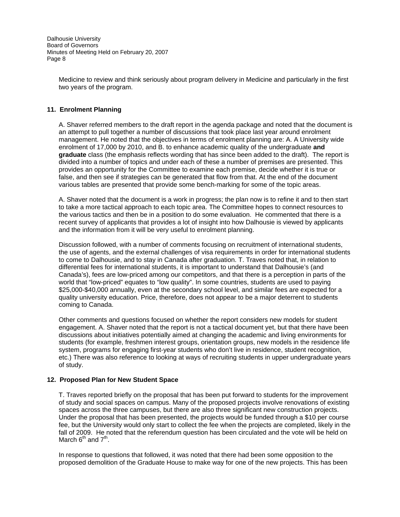Medicine to review and think seriously about program delivery in Medicine and particularly in the first two years of the program.

## **11. Enrolment Planning**

A. Shaver referred members to the draft report in the agenda package and noted that the document is an attempt to pull together a number of discussions that took place last year around enrolment management. He noted that the objectives in terms of enrolment planning are: A. A University wide enrolment of 17,000 by 2010, and B. to enhance academic quality of the undergraduate **and graduate** class (the emphasis reflects wording that has since been added to the draft). The report is divided into a number of topics and under each of these a number of premises are presented. This provides an opportunity for the Committee to examine each premise, decide whether it is true or false, and then see if strategies can be generated that flow from that. At the end of the document various tables are presented that provide some bench-marking for some of the topic areas.

A. Shaver noted that the document is a work in progress; the plan now is to refine it and to then start to take a more tactical approach to each topic area. The Committee hopes to connect resources to the various tactics and then be in a position to do some evaluation. He commented that there is a recent survey of applicants that provides a lot of insight into how Dalhousie is viewed by applicants and the information from it will be very useful to enrolment planning.

Discussion followed, with a number of comments focusing on recruitment of international students, the use of agents, and the external challenges of visa requirements in order for international students to come to Dalhousie, and to stay in Canada after graduation. T. Traves noted that, in relation to differential fees for international students, it is important to understand that Dalhousie's (and Canada's), fees are low-priced among our competitors, and that there is a perception in parts of the world that "low-priced" equates to "low quality". In some countries, students are used to paying \$25,000-\$40,000 annually, even at the secondary school level, and similar fees are expected for a quality university education. Price, therefore, does not appear to be a major deterrent to students coming to Canada.

Other comments and questions focused on whether the report considers new models for student engagement. A. Shaver noted that the report is not a tactical document yet, but that there have been discussions about initiatives potentially aimed at changing the academic and living environments for students (for example, freshmen interest groups, orientation groups, new models in the residence life system, programs for engaging first-year students who don't live in residence, student recognition, etc.) There was also reference to looking at ways of recruiting students in upper undergraduate years of study.

### **12. Proposed Plan for New Student Space**

T. Traves reported briefly on the proposal that has been put forward to students for the improvement of study and social spaces on campus. Many of the proposed projects involve renovations of existing spaces across the three campuses, but there are also three significant new construction projects. Under the proposal that has been presented, the projects would be funded through a \$10 per course fee, but the University would only start to collect the fee when the projects are completed, likely in the fall of 2009. He noted that the referendum question has been circulated and the vote will be held on March  $6^{th}$  and  $7^{th}$ .

In response to questions that followed, it was noted that there had been some opposition to the proposed demolition of the Graduate House to make way for one of the new projects. This has been